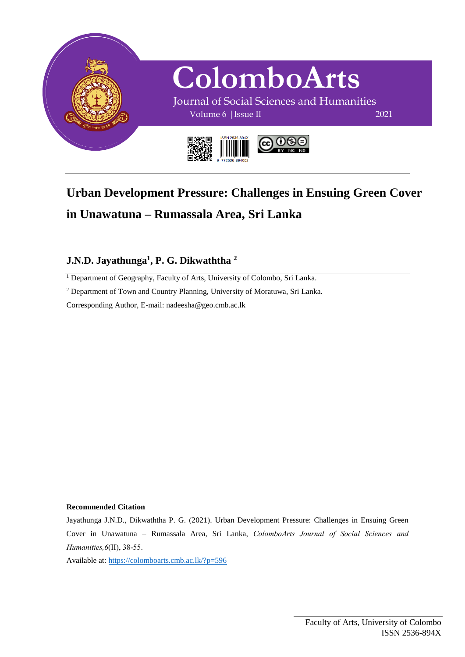

## **Urban Development Pressure: Challenges in Ensuing Green Cover in Unawatuna – Rumassala Area, Sri Lanka**

## **J.N.D. Jayathunga<sup>1</sup> , P. G. Dikwaththa <sup>2</sup>**

<sup>1</sup> Department of Geography, Faculty of Arts, University of Colombo, Sri Lanka.

<sup>2</sup> Department of Town and Country Planning, University of Moratuwa, Sri Lanka.

Corresponding Author, E-mail: nadeesha@geo.cmb.ac.lk

#### **Recommended Citation**

Jayathunga J.N.D., Dikwaththa P. G. (2021). Urban Development Pressure: Challenges in Ensuing Green Cover in Unawatuna – Rumassala Area, Sri Lanka, *ColomboArts Journal of Social Sciences and Humanities,6*(II), 38-55.

Available at: <https://colomboarts.cmb.ac.lk/?p=596>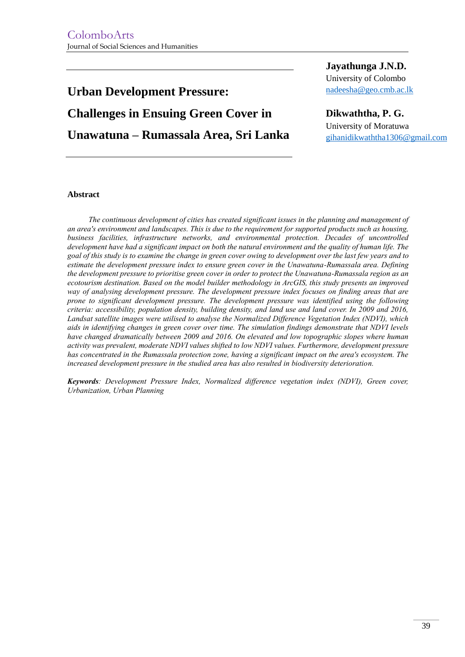# **Urban Development Pressure: Challenges in Ensuing Green Cover in Unawatuna – Rumassala Area, Sri Lanka**

**Jayathunga J.N.D.** University of Colombo [nadeesha@geo.cmb.ac.lk](mailto:nadeesha@geo.cmb.ac.lk)

**Dikwaththa, P. G.** University of Moratuwa [gihanidikwaththa1306@gmail.com](mailto:gihanidikwaththa1306@gmail.com)

#### **Abstract**

*The continuous development of cities has created significant issues in the planning and management of an area's environment and landscapes. This is due to the requirement for supported products such as housing, business facilities, infrastructure networks, and environmental protection. Decades of uncontrolled development have had a significant impact on both the natural environment and the quality of human life. The goal of this study is to examine the change in green cover owing to development over the last few years and to estimate the development pressure index to ensure green cover in the Unawatuna-Rumassala area. Defining the development pressure to prioritise green cover in order to protect the Unawatuna-Rumassala region as an ecotourism destination. Based on the model builder methodology in ArcGIS, this study presents an improved way of analysing development pressure. The development pressure index focuses on finding areas that are prone to significant development pressure. The development pressure was identified using the following criteria: accessibility, population density, building density, and land use and land cover. In 2009 and 2016, Landsat satellite images were utilised to analyse the Normalized Difference Vegetation Index (NDVI), which aids in identifying changes in green cover over time. The simulation findings demonstrate that NDVI levels have changed dramatically between 2009 and 2016. On elevated and low topographic slopes where human activity was prevalent, moderate NDVI values shifted to low NDVI values. Furthermore, development pressure has concentrated in the Rumassala protection zone, having a significant impact on the area's ecosystem. The increased development pressure in the studied area has also resulted in biodiversity deterioration.*

*Keywords: Development Pressure Index, Normalized difference vegetation index (NDVI), Green cover, Urbanization, Urban Planning*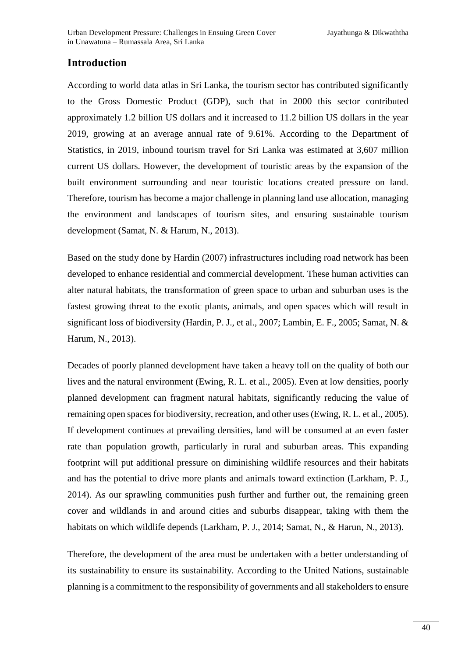## **Introduction**

According to world data atlas in Sri Lanka, the tourism sector has contributed significantly to the Gross Domestic Product (GDP), such that in 2000 this sector contributed approximately 1.2 billion US dollars and it increased to 11.2 billion US dollars in the year 2019, growing at an average annual rate of 9.61%. According to the Department of Statistics, in 2019, inbound tourism travel for Sri Lanka was estimated at 3,607 million current US dollars. However, the development of touristic areas by the expansion of the built environment surrounding and near touristic locations created pressure on land. Therefore, tourism has become a major challenge in planning land use allocation, managing the environment and landscapes of tourism sites, and ensuring sustainable tourism development (Samat, N. & Harum, N., 2013).

Based on the study done by Hardin (2007) infrastructures including road network has been developed to enhance residential and commercial development. These human activities can alter natural habitats, the transformation of green space to urban and suburban uses is the fastest growing threat to the exotic plants, animals, and open spaces which will result in significant loss of biodiversity (Hardin, P. J., et al., 2007; Lambin, E. F., 2005; Samat, N. & Harum, N., 2013).

Decades of poorly planned development have taken a heavy toll on the quality of both our lives and the natural environment (Ewing, R. L. et al., 2005). Even at low densities, poorly planned development can fragment natural habitats, significantly reducing the value of remaining open spaces for biodiversity, recreation, and other uses (Ewing, R. L. et al., 2005). If development continues at prevailing densities, land will be consumed at an even faster rate than population growth, particularly in rural and suburban areas. This expanding footprint will put additional pressure on diminishing wildlife resources and their habitats and has the potential to drive more plants and animals toward extinction (Larkham, P. J., 2014). As our sprawling communities push further and further out, the remaining green cover and wildlands in and around cities and suburbs disappear, taking with them the habitats on which wildlife depends (Larkham, P. J., 2014; Samat, N., & Harun, N., 2013).

Therefore, the development of the area must be undertaken with a better understanding of its sustainability to ensure its sustainability. According to the United Nations, sustainable planning is a commitment to the responsibility of governments and all stakeholders to ensure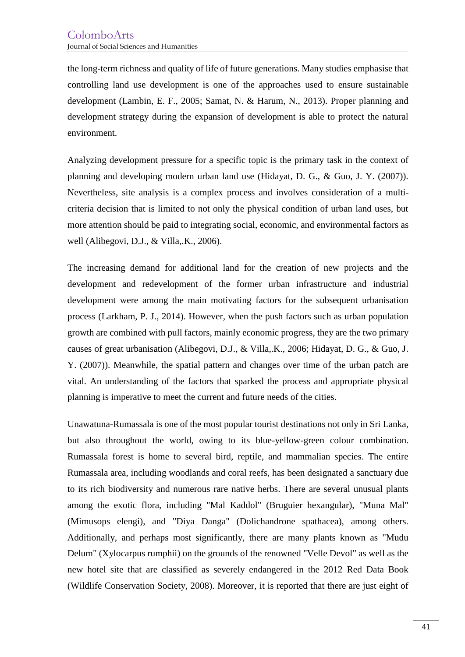the long-term richness and quality of life of future generations. Many studies emphasise that controlling land use development is one of the approaches used to ensure sustainable development (Lambin, E. F., 2005; Samat, N. & Harum, N., 2013). Proper planning and development strategy during the expansion of development is able to protect the natural environment.

Analyzing development pressure for a specific topic is the primary task in the context of planning and developing modern urban land use (Hidayat, D. G., & Guo, J. Y. (2007)). Nevertheless, site analysis is a complex process and involves consideration of a multicriteria decision that is limited to not only the physical condition of urban land uses, but more attention should be paid to integrating social, economic, and environmental factors as well (Alibegovi, D.J., & Villa,.K., 2006).

The increasing demand for additional land for the creation of new projects and the development and redevelopment of the former urban infrastructure and industrial development were among the main motivating factors for the subsequent urbanisation process (Larkham, P. J., 2014). However, when the push factors such as urban population growth are combined with pull factors, mainly economic progress, they are the two primary causes of great urbanisation (Alibegovi, D.J., & Villa,.K., 2006; Hidayat, D. G., & Guo, J. Y. (2007)). Meanwhile, the spatial pattern and changes over time of the urban patch are vital. An understanding of the factors that sparked the process and appropriate physical planning is imperative to meet the current and future needs of the cities.

Unawatuna-Rumassala is one of the most popular tourist destinations not only in Sri Lanka, but also throughout the world, owing to its blue-yellow-green colour combination. Rumassala forest is home to several bird, reptile, and mammalian species. The entire Rumassala area, including woodlands and coral reefs, has been designated a sanctuary due to its rich biodiversity and numerous rare native herbs. There are several unusual plants among the exotic flora, including "Mal Kaddol" (Bruguier hexangular), "Muna Mal" (Mimusops elengi), and "Diya Danga" (Dolichandrone spathacea), among others. Additionally, and perhaps most significantly, there are many plants known as "Mudu Delum" (Xylocarpus rumphii) on the grounds of the renowned "Velle Devol" as well as the new hotel site that are classified as severely endangered in the 2012 Red Data Book (Wildlife Conservation Society, 2008). Moreover, it is reported that there are just eight of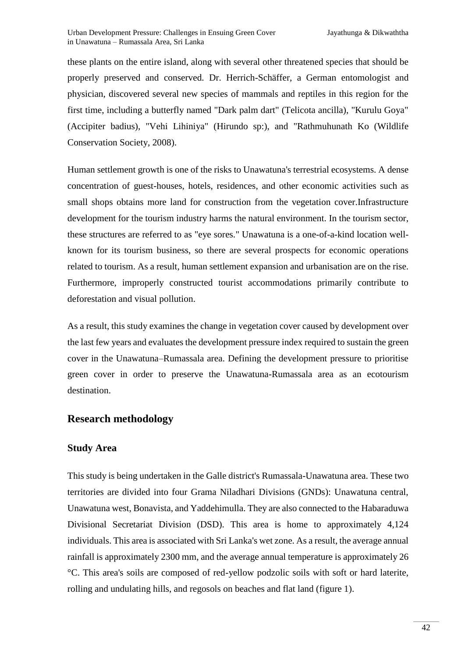these plants on the entire island, along with several other threatened species that should be properly preserved and conserved. Dr. Herrich-Schäffer, a German entomologist and physician, discovered several new species of mammals and reptiles in this region for the first time, including a butterfly named "Dark palm dart" (Telicota ancilla), "Kurulu Goya" (Accipiter badius), "Vehi Lihiniya" (Hirundo sp:), and "Rathmuhunath Ko (Wildlife Conservation Society, 2008).

Human settlement growth is one of the risks to Unawatuna's terrestrial ecosystems. A dense concentration of guest-houses, hotels, residences, and other economic activities such as small shops obtains more land for construction from the vegetation cover.Infrastructure development for the tourism industry harms the natural environment. In the tourism sector, these structures are referred to as "eye sores." Unawatuna is a one-of-a-kind location wellknown for its tourism business, so there are several prospects for economic operations related to tourism. As a result, human settlement expansion and urbanisation are on the rise. Furthermore, improperly constructed tourist accommodations primarily contribute to deforestation and visual pollution.

As a result, this study examines the change in vegetation cover caused by development over the last few years and evaluates the development pressure index required to sustain the green cover in the Unawatuna–Rumassala area. Defining the development pressure to prioritise green cover in order to preserve the Unawatuna-Rumassala area as an ecotourism destination.

## **Research methodology**

## **Study Area**

This study is being undertaken in the Galle district's Rumassala-Unawatuna area. These two territories are divided into four Grama Niladhari Divisions (GNDs): Unawatuna central, Unawatuna west, Bonavista, and Yaddehimulla. They are also connected to the Habaraduwa Divisional Secretariat Division (DSD). This area is home to approximately 4,124 individuals. This area is associated with Sri Lanka's wet zone. As a result, the average annual rainfall is approximately 2300 mm, and the average annual temperature is approximately 26 °C. This area's soils are composed of red-yellow podzolic soils with soft or hard laterite, rolling and undulating hills, and regosols on beaches and flat land (figure 1).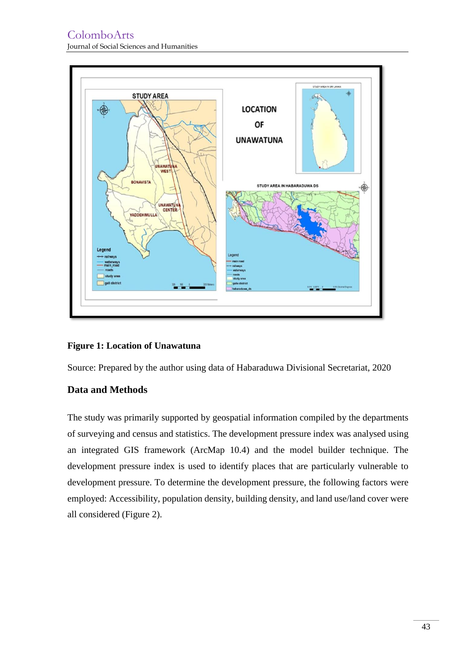

#### **Figure 1: Location of Unawatuna**

Source: Prepared by the author using data of Habaraduwa Divisional Secretariat, 2020

## **Data and Methods**

The study was primarily supported by geospatial information compiled by the departments of surveying and census and statistics. The development pressure index was analysed using an integrated GIS framework (ArcMap 10.4) and the model builder technique. The development pressure index is used to identify places that are particularly vulnerable to development pressure. To determine the development pressure, the following factors were employed: Accessibility, population density, building density, and land use/land cover were all considered (Figure 2).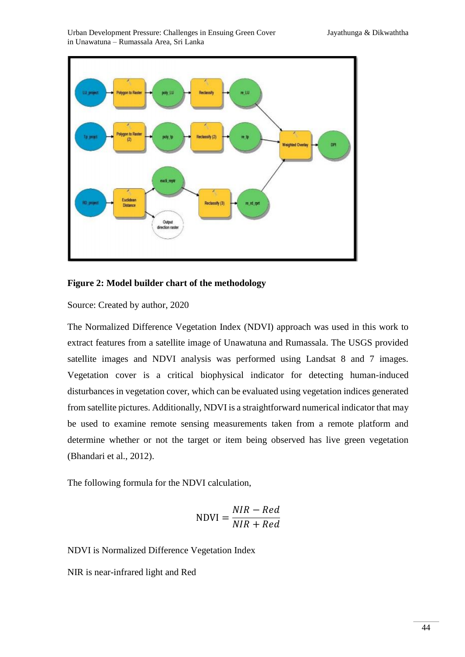

#### **Figure 2: Model builder chart of the methodology**

Source: Created by author, 2020

The Normalized Difference Vegetation Index (NDVI) approach was used in this work to extract features from a satellite image of Unawatuna and Rumassala. The USGS provided satellite images and NDVI analysis was performed using Landsat 8 and 7 images. Vegetation cover is a critical biophysical indicator for detecting human-induced disturbances in vegetation cover, which can be evaluated using vegetation indices generated from satellite pictures. Additionally, NDVI is a straightforward numerical indicator that may be used to examine remote sensing measurements taken from a remote platform and determine whether or not the target or item being observed has live green vegetation (Bhandari et al., 2012).

The following formula for the NDVI calculation,

$$
NDVI = \frac{NIR - Red}{NIR + Red}
$$

NDVI is Normalized Difference Vegetation Index

NIR is near-infrared light and Red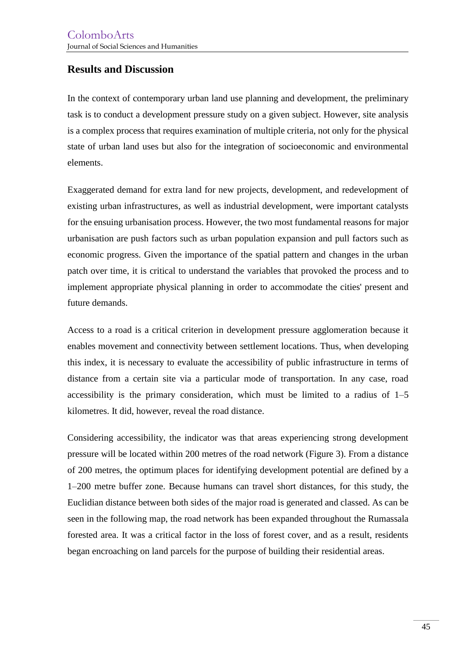## **Results and Discussion**

In the context of contemporary urban land use planning and development, the preliminary task is to conduct a development pressure study on a given subject. However, site analysis is a complex process that requires examination of multiple criteria, not only for the physical state of urban land uses but also for the integration of socioeconomic and environmental elements.

Exaggerated demand for extra land for new projects, development, and redevelopment of existing urban infrastructures, as well as industrial development, were important catalysts for the ensuing urbanisation process. However, the two most fundamental reasons for major urbanisation are push factors such as urban population expansion and pull factors such as economic progress. Given the importance of the spatial pattern and changes in the urban patch over time, it is critical to understand the variables that provoked the process and to implement appropriate physical planning in order to accommodate the cities' present and future demands.

Access to a road is a critical criterion in development pressure agglomeration because it enables movement and connectivity between settlement locations. Thus, when developing this index, it is necessary to evaluate the accessibility of public infrastructure in terms of distance from a certain site via a particular mode of transportation. In any case, road accessibility is the primary consideration, which must be limited to a radius of 1–5 kilometres. It did, however, reveal the road distance.

Considering accessibility, the indicator was that areas experiencing strong development pressure will be located within 200 metres of the road network (Figure 3). From a distance of 200 metres, the optimum places for identifying development potential are defined by a 1–200 metre buffer zone. Because humans can travel short distances, for this study, the Euclidian distance between both sides of the major road is generated and classed. As can be seen in the following map, the road network has been expanded throughout the Rumassala forested area. It was a critical factor in the loss of forest cover, and as a result, residents began encroaching on land parcels for the purpose of building their residential areas.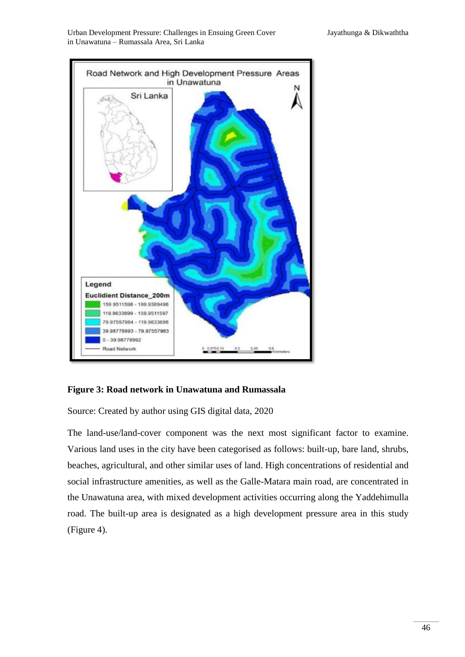Urban Development Pressure: Challenges in Ensuing Green Cover Jayathunga & Dikwaththa in Unawatuna – Rumassala Area, Sri Lanka



#### **Figure 3: Road network in Unawatuna and Rumassala**

Source: Created by author using GIS digital data, 2020

The land-use/land-cover component was the next most significant factor to examine. Various land uses in the city have been categorised as follows: built-up, bare land, shrubs, beaches, agricultural, and other similar uses of land. High concentrations of residential and social infrastructure amenities, as well as the Galle-Matara main road, are concentrated in the Unawatuna area, with mixed development activities occurring along the Yaddehimulla road. The built-up area is designated as a high development pressure area in this study (Figure 4).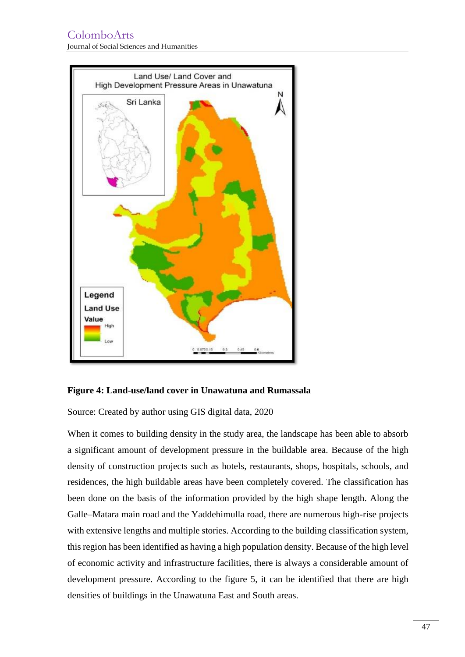

#### **Figure 4: Land-use/land cover in Unawatuna and Rumassala**

Source: Created by author using GIS digital data, 2020

When it comes to building density in the study area, the landscape has been able to absorb a significant amount of development pressure in the buildable area. Because of the high density of construction projects such as hotels, restaurants, shops, hospitals, schools, and residences, the high buildable areas have been completely covered. The classification has been done on the basis of the information provided by the high shape length. Along the Galle–Matara main road and the Yaddehimulla road, there are numerous high-rise projects with extensive lengths and multiple stories. According to the building classification system, this region has been identified as having a high population density. Because of the high level of economic activity and infrastructure facilities, there is always a considerable amount of development pressure. According to the figure 5, it can be identified that there are high densities of buildings in the Unawatuna East and South areas.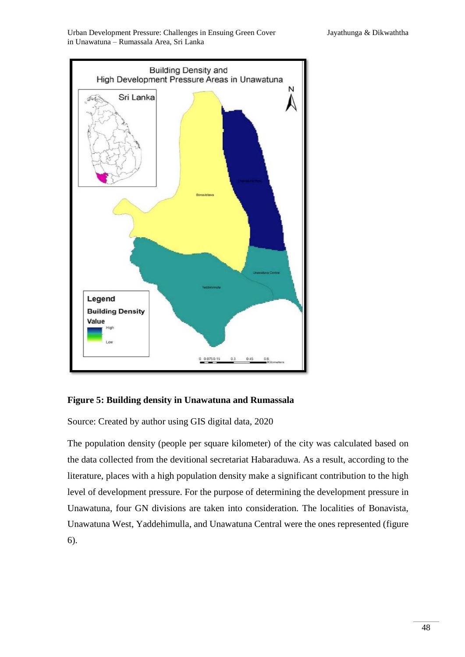Urban Development Pressure: Challenges in Ensuing Green Cover Jayathunga & Dikwaththa in Unawatuna – Rumassala Area, Sri Lanka





Source: Created by author using GIS digital data, 2020

The population density (people per square kilometer) of the city was calculated based on the data collected from the devitional secretariat Habaraduwa. As a result, according to the literature, places with a high population density make a significant contribution to the high level of development pressure. For the purpose of determining the development pressure in Unawatuna, four GN divisions are taken into consideration. The localities of Bonavista, Unawatuna West, Yaddehimulla, and Unawatuna Central were the ones represented (figure 6).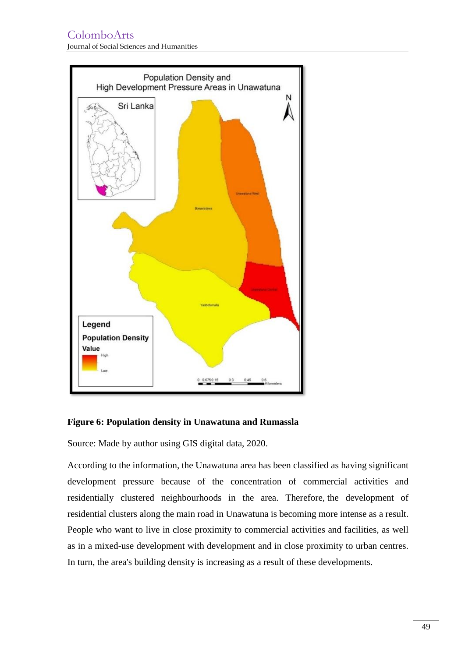## ColomboArts Journal of Social Sciences and Humanities



## **Figure 6: Population density in Unawatuna and Rumassla**

Source: Made by author using GIS digital data, 2020.

According to the information, the Unawatuna area has been classified as having significant development pressure because of the concentration of commercial activities and residentially clustered neighbourhoods in the area. Therefore, the development of residential clusters along the main road in Unawatuna is becoming more intense as a result. People who want to live in close proximity to commercial activities and facilities, as well as in a mixed-use development with development and in close proximity to urban centres. In turn, the area's building density is increasing as a result of these developments.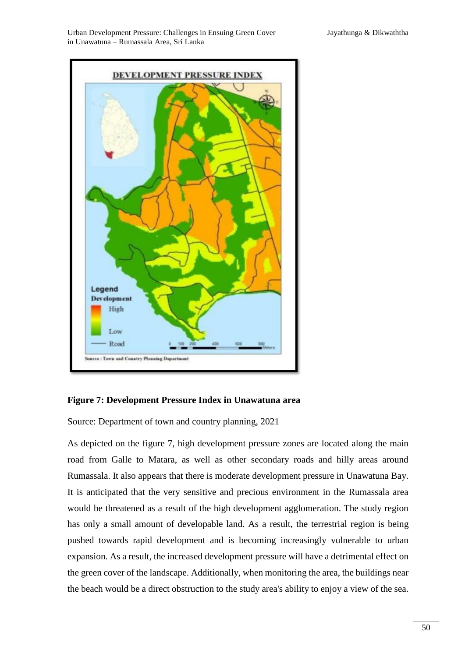



Source: Department of town and country planning, 2021

As depicted on the figure 7, high development pressure zones are located along the main road from Galle to Matara, as well as other secondary roads and hilly areas around Rumassala. It also appears that there is moderate development pressure in Unawatuna Bay. It is anticipated that the very sensitive and precious environment in the Rumassala area would be threatened as a result of the high development agglomeration. The study region has only a small amount of developable land. As a result, the terrestrial region is being pushed towards rapid development and is becoming increasingly vulnerable to urban expansion. As a result, the increased development pressure will have a detrimental effect on the green cover of the landscape. Additionally, when monitoring the area, the buildings near the beach would be a direct obstruction to the study area's ability to enjoy a view of the sea.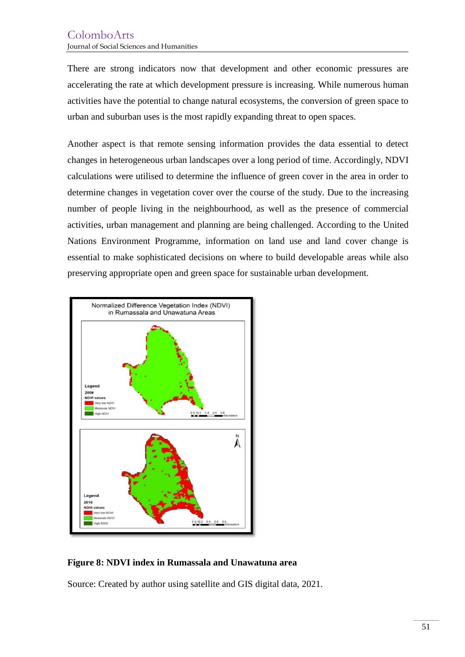There are strong indicators now that development and other economic pressures are accelerating the rate at which development pressure is increasing. While numerous human activities have the potential to change natural ecosystems, the conversion of green space to urban and suburban uses is the most rapidly expanding threat to open spaces.

Another aspect is that remote sensing information provides the data essential to detect changes in heterogeneous urban landscapes over a long period of time. Accordingly, NDVI calculations were utilised to determine the influence of green cover in the area in order to determine changes in vegetation cover over the course of the study. Due to the increasing number of people living in the neighbourhood, as well as the presence of commercial activities, urban management and planning are being challenged. According to the United Nations Environment Programme, information on land use and land cover change is essential to make sophisticated decisions on where to build developable areas while also preserving appropriate open and green space for sustainable urban development.



**Figure 8: NDVI index in Rumassala and Unawatuna area**

Source: Created by author using satellite and GIS digital data, 2021.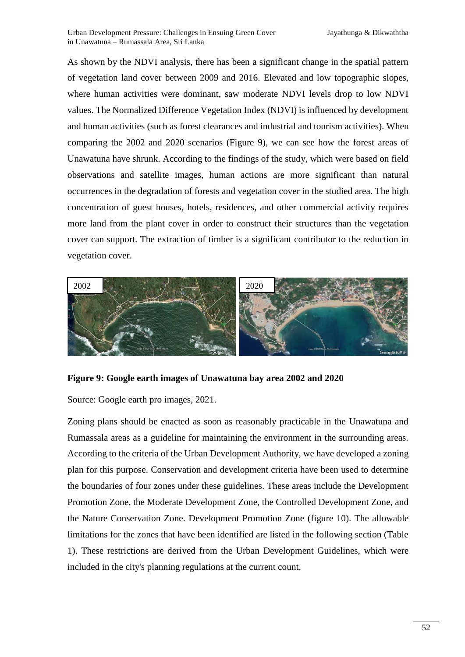As shown by the NDVI analysis, there has been a significant change in the spatial pattern of vegetation land cover between 2009 and 2016. Elevated and low topographic slopes, where human activities were dominant, saw moderate NDVI levels drop to low NDVI values. The Normalized Difference Vegetation Index (NDVI) is influenced by development and human activities (such as forest clearances and industrial and tourism activities). When comparing the 2002 and 2020 scenarios (Figure 9), we can see how the forest areas of Unawatuna have shrunk. According to the findings of the study, which were based on field observations and satellite images, human actions are more significant than natural occurrences in the degradation of forests and vegetation cover in the studied area. The high concentration of guest houses, hotels, residences, and other commercial activity requires more land from the plant cover in order to construct their structures than the vegetation cover can support. The extraction of timber is a significant contributor to the reduction in vegetation cover.



#### **Figure 9: Google earth images of Unawatuna bay area 2002 and 2020**

Source: Google earth pro images, 2021.

Zoning plans should be enacted as soon as reasonably practicable in the Unawatuna and Rumassala areas as a guideline for maintaining the environment in the surrounding areas. According to the criteria of the Urban Development Authority, we have developed a zoning plan for this purpose. Conservation and development criteria have been used to determine the boundaries of four zones under these guidelines. These areas include the Development Promotion Zone, the Moderate Development Zone, the Controlled Development Zone, and the Nature Conservation Zone. Development Promotion Zone (figure 10). The allowable limitations for the zones that have been identified are listed in the following section (Table 1). These restrictions are derived from the Urban Development Guidelines, which were included in the city's planning regulations at the current count.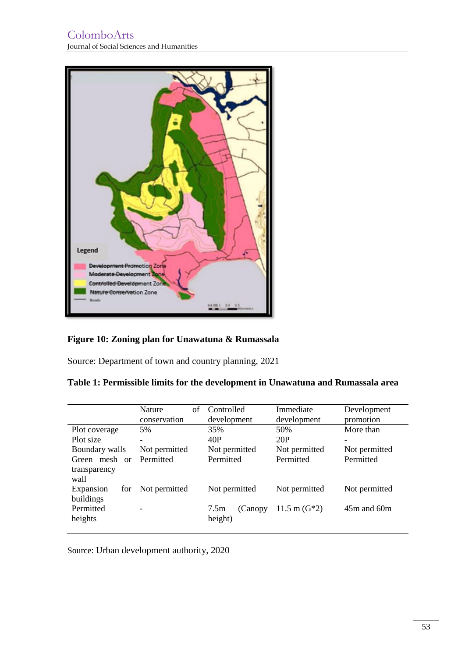

## **Figure 10: Zoning plan for Unawatuna & Rumassala**

Source: Department of town and country planning, 2021

|                      | Nature<br>of<br>conservation | Controlled<br>development | Immediate<br>development | Development<br>promotion |
|----------------------|------------------------------|---------------------------|--------------------------|--------------------------|
|                      |                              |                           |                          |                          |
| Plot coverage        | 5%                           | 35%                       | 50%                      | More than                |
| Plot size            | -                            | 40P                       | 20P                      | -                        |
| Boundary walls       | Not permitted                | Not permitted             | Not permitted            | Not permitted            |
| Green mesh or        | Permitted                    | Permitted                 | Permitted                | Permitted                |
| transparency<br>wall |                              |                           |                          |                          |
| Expansion<br>for     | Not permitted                | Not permitted             | Not permitted            | Not permitted            |
| buildings            |                              |                           |                          |                          |
| Permitted            |                              | 7.5m<br>(Canopy)          | $11.5 \text{ m}$ (G*2)   | $45m$ and $60m$          |
| heights              |                              | height)                   |                          |                          |
|                      |                              |                           |                          |                          |

Source: Urban development authority, 2020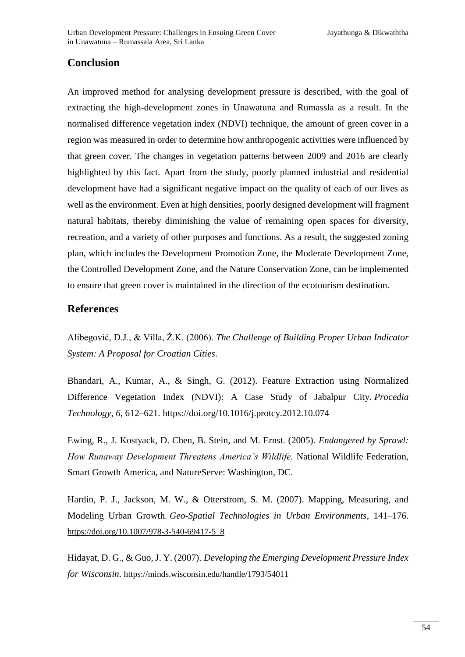## **Conclusion**

An improved method for analysing development pressure is described, with the goal of extracting the high-development zones in Unawatuna and Rumassla as a result. In the normalised difference vegetation index (NDVI) technique, the amount of green cover in a region was measured in order to determine how anthropogenic activities were influenced by that green cover. The changes in vegetation patterns between 2009 and 2016 are clearly highlighted by this fact. Apart from the study, poorly planned industrial and residential development have had a significant negative impact on the quality of each of our lives as well as the environment. Even at high densities, poorly designed development will fragment natural habitats, thereby diminishing the value of remaining open spaces for diversity, recreation, and a variety of other purposes and functions. As a result, the suggested zoning plan, which includes the Development Promotion Zone, the Moderate Development Zone, the Controlled Development Zone, and the Nature Conservation Zone, can be implemented to ensure that green cover is maintained in the direction of the ecotourism destination.

## **References**

Alibegović, D.J., & Villa, Ž.K. (2006). *The Challenge of Building Proper Urban Indicator System: A Proposal for Croatian Cities*.

Bhandari, A., Kumar, A., & Singh, G. (2012). Feature Extraction using Normalized Difference Vegetation Index (NDVI): A Case Study of Jabalpur City. *Procedia Technology*, *6*, 612–621. https://doi.org/10.1016/j.protcy.2012.10.074

Ewing, R., J. Kostyack, D. Chen, B. Stein, and M. Ernst. (2005). *Endangered by Sprawl: How Runaway Development Threatens America's Wildlife.* National Wildlife Federation, Smart Growth America, and NatureServe: Washington, DC.

Hardin, P. J., Jackson, M. W., & Otterstrom, S. M. (2007). Mapping, Measuring, and Modeling Urban Growth. *Geo-Spatial Technologies in Urban Environments*, 141–176. [https://doi.org/10.1007/978-3-540-69417-5\\_8](https://doi.org/10.1007/978-3-540-69417-5_8)

Hidayat, D. G., & Guo, J. Y. (2007). *Developing the Emerging Development Pressure Index for Wisconsin*. <https://minds.wisconsin.edu/handle/1793/54011>